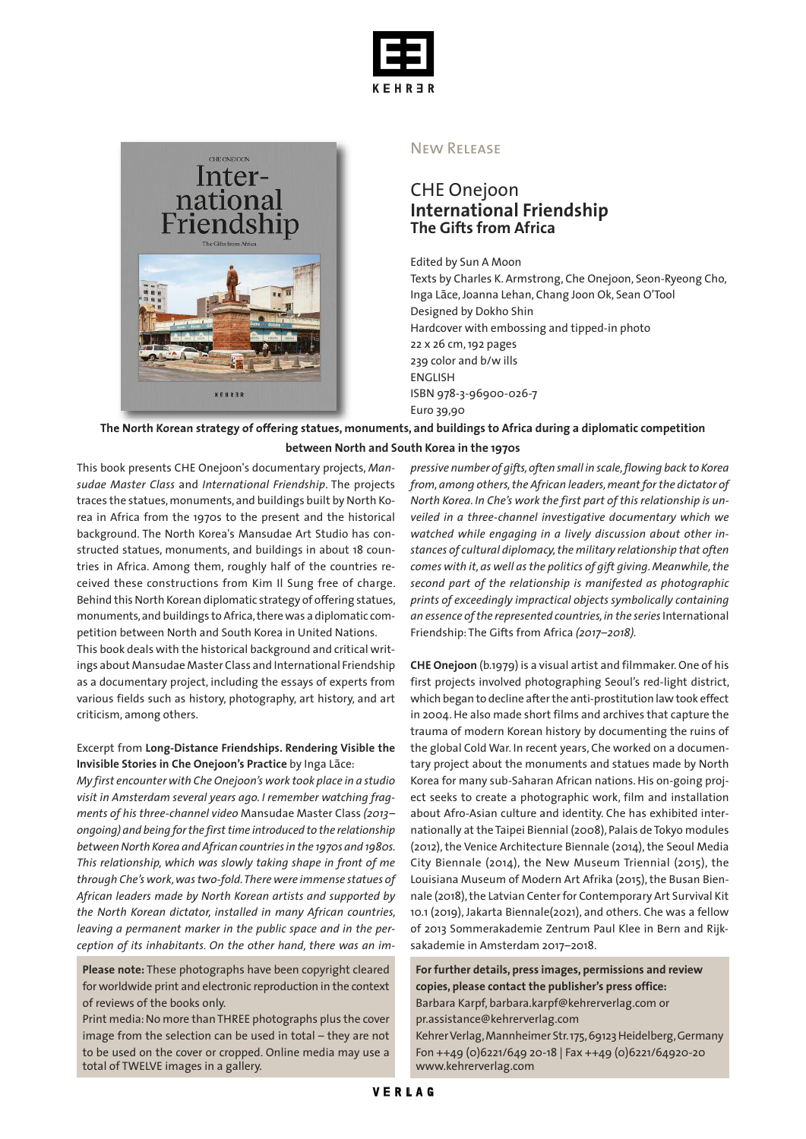



#### New Release

## CHE Onejoon **International Friendship The Gifts from Africa**

Edited by Sun A Moon

Texts by Charles K. Armstrong, Che Onejoon, Seon-Ryeong Cho, Inga Lāce,Joanna Lehan, Chang Joon Ok, Sean O'Tool Designed by Dokho Shin Hardcover with embossing and tipped-in photo 22 x 26 cm,192 pages 239 color and b/w ills ENGLISH ISBN 978-3-96900-026-7 Euro 39,90

The North Korean strategy of offering statues, monuments, and buildings to Africa during a diplomatic competition

#### **between North and South Korea in the 1970s**

This book presents CHE Onejoon's documentary projects, *Mansudae Master Class* and *International Friendship*. The projects traces the statues, monuments, and buildings built by North Korea in Africa from the 1970s to the present and the historical background. The North Korea's Mansudae Art Studio has constructed statues, monuments, and buildings in about 18 countries in Africa. Among them, roughly half of the countries received these constructions from Kim Il Sung free of charge. Behind this North Korean diplomatic strategy of offering statues, monuments,and buildings toAfrica,therewas a diplomatic competition between North and South Korea in United Nations.

This book deals with the historical background and critical writings about Mansudae Master Class and International Friendship as a documentary project, including the essays of experts from various fields such as history, photography, art history, and art criticism, among others.

### Excerpt from **Long-Distance Friendships. Rendering Visible the Invisible Stories in Che Onejoon's Practice** by Inga Lāce:

*My first encounter with CheOnejoon's work took place in a studio visit in Amsterdam several years ago. I remember watching fragments of his three-channel video* Mansudae Master Class *(2013– ongoing) and being forthe firsttime introduced to the relationship betweenNorth Korea and African countriesin the 1970s and 1980s. This relationship, which was slowly taking shape in front of me through Che's work,wastwo-fold.There were immense statues of African leaders made by North Korean artists and supported by the North Korean dictator, installed in many African countries, leaving a permanent marker in the public space and in the perception of its inhabitants. On the other hand, there was an im-*

**Please note:** These photographs have been copyright cleared for worldwide print and electronic reproduction in the context of reviews of the books only.

Print media:No more than THREE photographs plus the cover image from the selection can be used in total – they are not to be used on the cover or cropped. Online media may use a total of TWELVE images in a gallery.

*pressive number of gifts,often small in scale,flowing back to Korea from,among others,the African leaders,meant for the dictator of North Korea. In Che's work the first part of this relationship is unveiled in a three-channel investigative documentary which we watched while engaging in a lively discussion about other instances of cultural diplomacy,the military relationship that often comes with it, as well as the politics of gift giving.Meanwhile,the second part of the relationship is manifested as photographic prints of exceedingly impractical objects symbolically containing an essence ofthe represented countries,in the series*International Friendship: The Gifts from Africa *(2017–2018).*

**CHE Onejoon** (b.1979) is a visual artist and filmmaker. One of his first projects involved photographing Seoul's red-light district, which began to decline after the anti-prostitution law took effect in 2004.He also made short films and archives that capture the trauma of modern Korean history by documenting the ruins of the global Cold War. In recent years, Che worked on a documentary project about the monuments and statues made by North Korea for many sub-Saharan African nations.His on-going project seeks to create a photographic work, film and installation about Afro-Asian culture and identity. Che has exhibited internationally at the Taipei Biennial (2008), Palais de Tokyo modules (2012), the Venice Architecture Biennale (2014), the Seoul Media City Biennale (2014), the New Museum Triennial (2015), the Louisiana Museum of Modern Art Afrika (2015), the Busan Biennale (2018), the Latvian Center for Contemporary Art Survival Kit 10.1 (2019), Jakarta Biennale(2021), and others. Che was a fellow of 2013 Sommerakademie Zentrum Paul Klee in Bern and Rijksakademie in Amsterdam 2017–2018.

**For further details, press images, permissions and review copies, please contact the publisher's press office:** Barbara Karpf, barbara.karpf@kehrerverlag.com or pr.assistance@kehrerverlag.com Kehrer Verlag, Mannheimer Str. 175, 69123 Heidelberg, Germany Fon ++49 (0)6221/649 20-18 | Fax ++49 (0)6221/64920-20

www.kehrerverlag.com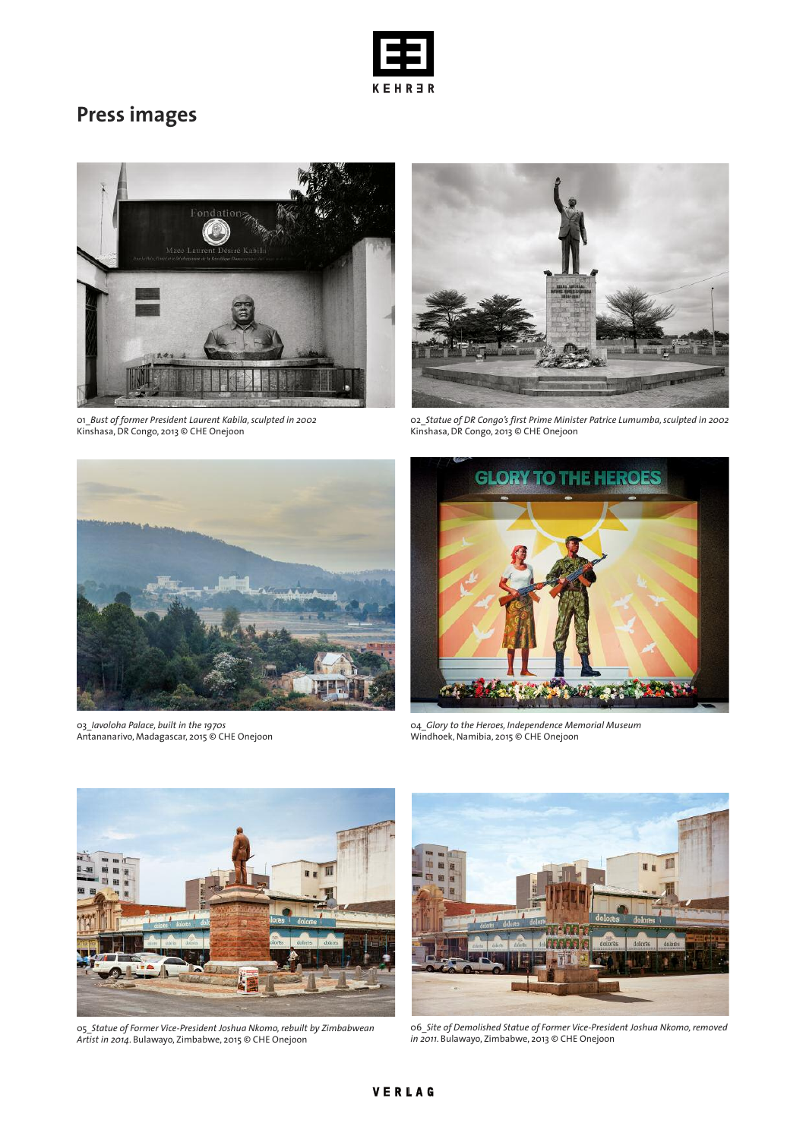

# **Press images**



01\_*Bust of former President Laurent Kabila,sculpted in 2002* Kinshasa,DR Congo, 2013 © CHE Onejoon



02\_*Statue of DR Congo's first Prime Minister Patrice Lumumba,sculpted in 2002* Kinshasa,DR Congo, 2013 © CHE Onejoon



03\_*Iavoloha Palace, built in the 1970s* Antananarivo, Madagascar, 2015 © CHE Onejoon



04\_*Glory to the Heroes, Independence Memorial Museum* Windhoek, Namibia, 2015 © CHE Onejoon



05\_*Statue of Former Vice-President Joshua Nkomo,rebuilt by Zimbabwean Artist in 2014*. Bulawayo, Zimbabwe, 2015 © CHE Onejoon



06\_*Site of Demolished Statue of Former Vice-President Joshua Nkomo,removed in 2011*. Bulawayo, Zimbabwe, 2013 © CHE Onejoon